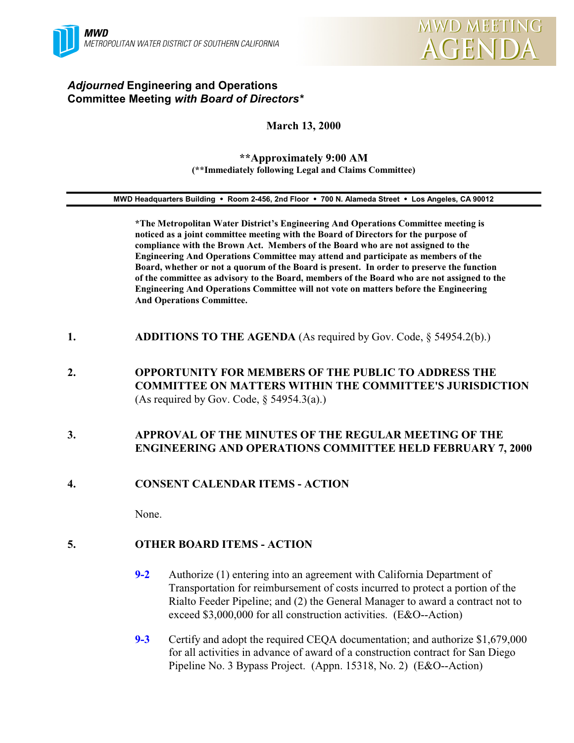

# *Adjourned* **Engineering and Operations Committee Meeting** *with Board of Directors\**

# **March 13, 2000**

#### **\*\*Approximately 9:00 AM (\*\*Immediately following Legal and Claims Committee)**

#### **MWD Headquarters Building** ! **Room 2-456, 2nd Floor** ! **700 N. Alameda Street** ! **Los Angeles, CA 90012**

**\*The Metropolitan Water District's Engineering And Operations Committee meeting is noticed as a joint committee meeting with the Board of Directors for the purpose of compliance with the Brown Act. Members of the Board who are not assigned to the Engineering And Operations Committee may attend and participate as members of the Board, whether or not a quorum of the Board is present. In order to preserve the function of the committee as advisory to the Board, members of the Board who are not assigned to the Engineering And Operations Committee will not vote on matters before the Engineering And Operations Committee.**

- **1. ADDITIONS TO THE AGENDA** (As required by Gov. Code, § 54954.2(b).)
- **2. OPPORTUNITY FOR MEMBERS OF THE PUBLIC TO ADDRESS THE COMMITTEE ON MATTERS WITHIN THE COMMITTEE'S JURISDICTION** (As required by Gov. Code,  $\S$  54954.3(a).)

# **3. APPROVAL OF THE MINUTES OF THE REGULAR MEETING OF THE ENGINEERING AND OPERATIONS COMMITTEE HELD FEBRUARY 7, 2000**

## **4. CONSENT CALENDAR ITEMS - ACTION**

None.

# **5. OTHER BOARD ITEMS - ACTION**

- **9-2** Authorize (1) entering into an agreement with California Department of Transportation for reimbursement of costs incurred to protect a portion of the Rialto Feeder Pipeline; and (2) the General Manager to award a contract not to exceed \$3,000,000 for all construction activities. (E&O--Action)
- **9-3** Certify and adopt the required CEQA documentation; and authorize \$1,679,000 for all activities in advance of award of a construction contract for San Diego Pipeline No. 3 Bypass Project. (Appn. 15318, No. 2) (E&O--Action)